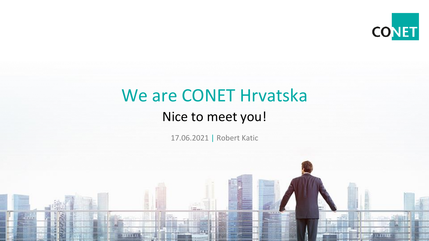

**SILTER** 

# We are CONET Hrvatska Nice to meet you!

17.06.2021 | Robert Katic

**PERTITI**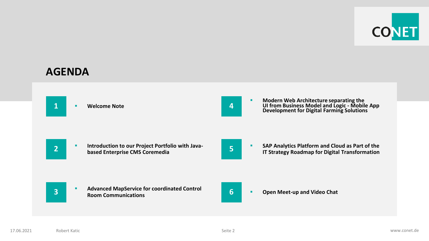

## **AGENDA**

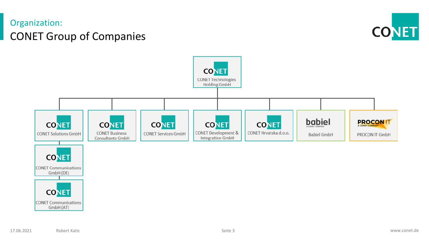# CONET Group of Companies Organization:





**CONET CONET Communications** GmbH (DE)

**CONET CONET Communications** GmbH (AT)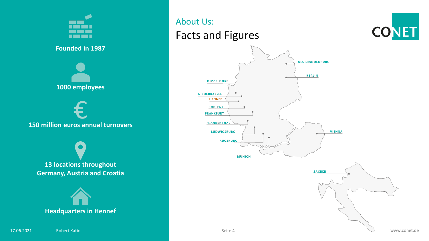

17.06.2021 Robert Katic Seite 4

# Facts and Figures About Us:





www.conet.de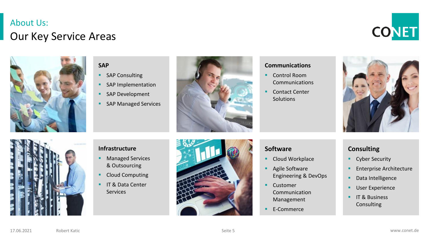# Our Key Service Areas About Us:





## **SAP**

- SAP Consulting
- **•** SAP Implementation
- **SAP Development**
- **BED SAP Managed Services**



#### **Communications**

- Control Room Communications
- Contact Center **Solutions**





## **Infrastructure**

- Managed Services & Outsourcing
- Cloud Computing
- **IT & Data Center** Services



#### **Software**

- Cloud Workplace
- Agile Software Engineering & DevOps
- Customer Communication Management
- E-Commerce

### **Consulting**

- Cyber Security
- **Enterprise Architecture**
- Data Intelligence
- **■** User Experience
- **IT & Business Consulting**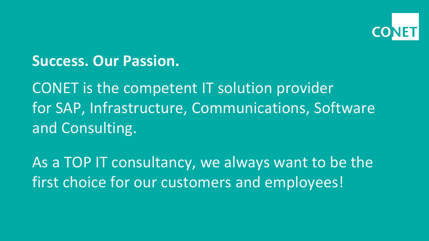

# **Success. Our Passion.**

CONET is the competent IT solution provider for SAP, Infrastructure, Communications, Software and Consulting.

As a TOP IT consultancy, we always want to be the first choice for our customers and employees!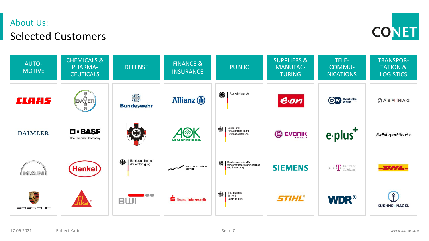# Selected Customers About Us:



| <b>AUTO-</b><br><b>MOTIVE</b> | <b>CHEMICALS &amp;</b><br>PHARMA-<br><b>CEUTICALS</b> | <b>DEFENSE</b>                             | <b>FINANCE &amp;</b><br><b>INSURANCE</b> | <b>PUBLIC</b>                                                              | <b>SUPPLIERS &amp;</b><br><b>MANUFAC-</b><br><b>TURING</b> | TELE-<br><b>COMMU-</b><br><b>NICATIONS</b>                                                                                                                                                                                                                                                                                                                                                                                                                                                 | <b>TRANSPOR-</b><br><b>TATION &amp;</b><br><b>LOGISTICS</b> |
|-------------------------------|-------------------------------------------------------|--------------------------------------------|------------------------------------------|----------------------------------------------------------------------------|------------------------------------------------------------|--------------------------------------------------------------------------------------------------------------------------------------------------------------------------------------------------------------------------------------------------------------------------------------------------------------------------------------------------------------------------------------------------------------------------------------------------------------------------------------------|-------------------------------------------------------------|
| <i><b>CLAHS</b></i>           | <b>BAYER</b><br>E<br>R                                | $\frac{1}{7}$<br><b>Bundeswehr</b>         | <b>Allianz</b> (II)                      | Auswärtiges Amt<br>绿                                                       | e.on                                                       | Dw Deutsche                                                                                                                                                                                                                                                                                                                                                                                                                                                                                | <b>ASFINAG</b>                                              |
| <b>DAIMLER</b>                | <b>D-BASF</b><br>The Chemical Company                 |                                            | $\mathfrak{P}$<br>Die Gesundheitskasse   | 參<br>Bundesamt<br>für Sicherheit in der<br>Informationstechnik             | $\bigcirc$<br>EVONIK                                       | $e$ -plus <sup>+</sup>                                                                                                                                                                                                                                                                                                                                                                                                                                                                     | <b>BwFuhrparkService</b>                                    |
| MANI                          | Henkel)                                               | Bundesministerium<br>缘<br>der Verteidigung | DEUTSCHE BÖRSE                           | Bundesministerium für<br>wirtschaftliche Zusammenarbeit<br>und Entwicklung | <b>SIEMENS</b>                                             | $\blacksquare$ $\blacksquare$ $\blacksquare$ $\blacksquare$ $\blacksquare$ $\blacksquare$ $\blacksquare$ $\blacksquare$ $\blacksquare$ $\blacksquare$ $\blacksquare$ $\blacksquare$ $\blacksquare$ $\blacksquare$ $\blacksquare$ $\blacksquare$ $\blacksquare$ $\blacksquare$ $\blacksquare$ $\blacksquare$ $\blacksquare$ $\blacksquare$ $\blacksquare$ $\blacksquare$ $\blacksquare$ $\blacksquare$ $\blacksquare$ $\blacksquare$ $\blacksquare$ $\blacksquare$ $\blacksquare$ $\blacks$ | <b>DHL</b>                                                  |
| 美<br>PORSCHE                  |                                                       | $\bullet$ 000<br><b>BWI</b>                | <b>S</b> finanz informatik               | Informations<br>Technik<br>Zentrum Bund                                    | <b>STIHL®</b>                                              | <b>WDR</b> <sup>o</sup>                                                                                                                                                                                                                                                                                                                                                                                                                                                                    | $\mathbf{f}$<br><b>KUEHNE+NAGEL</b>                         |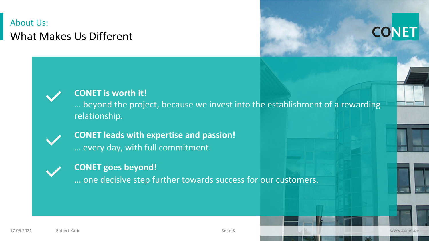# What Makes Us Different About Us:

# **CONET**

**CONET is worth it!**

… beyond the project, because we invest into the establishment of a rewarding relationship.

**CONET leads with expertise and passion!** … every day, with full commitment.

## **CONET goes beyond!**

**…** one decisive step further towards success for our customers.